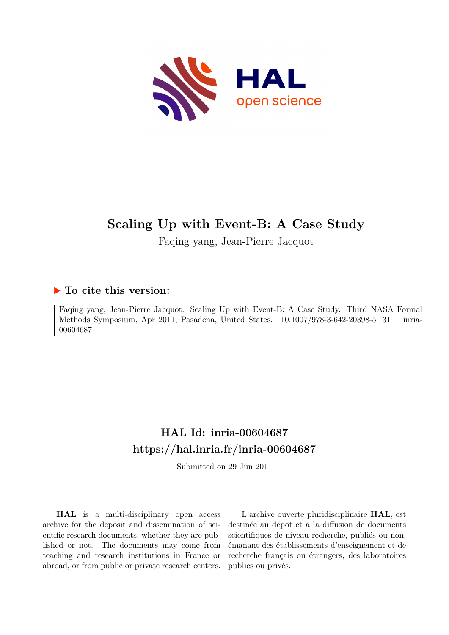

# **Scaling Up with Event-B: A Case Study**

Faqing yang, Jean-Pierre Jacquot

# **To cite this version:**

Faqing yang, Jean-Pierre Jacquot. Scaling Up with Event-B: A Case Study. Third NASA Formal Methods Symposium, Apr 2011, Pasadena, United States. 10.1007/978-3-642-20398-5 31. inria-00604687

# **HAL Id: inria-00604687 <https://hal.inria.fr/inria-00604687>**

Submitted on 29 Jun 2011

**HAL** is a multi-disciplinary open access archive for the deposit and dissemination of scientific research documents, whether they are published or not. The documents may come from teaching and research institutions in France or abroad, or from public or private research centers.

L'archive ouverte pluridisciplinaire **HAL**, est destinée au dépôt et à la diffusion de documents scientifiques de niveau recherche, publiés ou non, émanant des établissements d'enseignement et de recherche français ou étrangers, des laboratoires publics ou privés.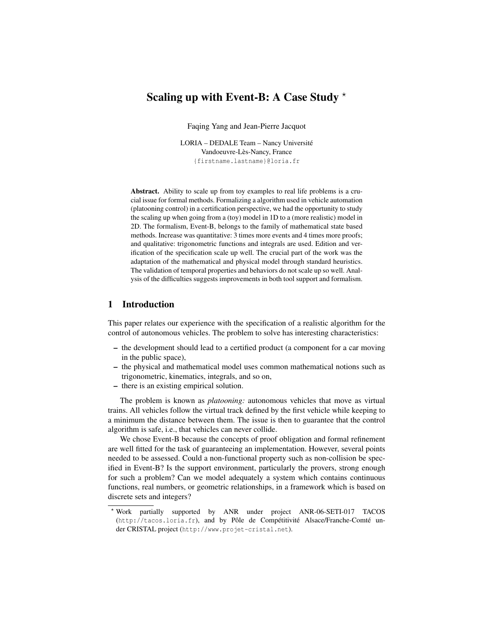# Scaling up with Event-B: A Case Study  $\star$

Faqing Yang and Jean-Pierre Jacquot

LORIA – DEDALE Team – Nancy Université Vandoeuvre-Lès-Nancy, France {firstname.lastname}@loria.fr

Abstract. Ability to scale up from toy examples to real life problems is a crucial issue for formal methods. Formalizing a algorithm used in vehicle automation (platooning control) in a certification perspective, we had the opportunity to study the scaling up when going from a (toy) model in 1D to a (more realistic) model in 2D. The formalism, Event-B, belongs to the family of mathematical state based methods. Increase was quantitative: 3 times more events and 4 times more proofs; and qualitative: trigonometric functions and integrals are used. Edition and verification of the specification scale up well. The crucial part of the work was the adaptation of the mathematical and physical model through standard heuristics. The validation of temporal properties and behaviors do not scale up so well. Analysis of the difficulties suggests improvements in both tool support and formalism.

# 1 Introduction

This paper relates our experience with the specification of a realistic algorithm for the control of autonomous vehicles. The problem to solve has interesting characteristics:

- the development should lead to a certified product (a component for a car moving in the public space),
- the physical and mathematical model uses common mathematical notions such as trigonometric, kinematics, integrals, and so on,
- there is an existing empirical solution.

The problem is known as *platooning:* autonomous vehicles that move as virtual trains. All vehicles follow the virtual track defined by the first vehicle while keeping to a minimum the distance between them. The issue is then to guarantee that the control algorithm is safe, i.e., that vehicles can never collide.

We chose Event-B because the concepts of proof obligation and formal refinement are well fitted for the task of guaranteeing an implementation. However, several points needed to be assessed. Could a non-functional property such as non-collision be specified in Event-B? Is the support environment, particularly the provers, strong enough for such a problem? Can we model adequately a system which contains continuous functions, real numbers, or geometric relationships, in a framework which is based on discrete sets and integers?

<sup>?</sup> Work partially supported by ANR under project ANR-06-SETI-017 TACOS (http://tacos.loria.fr), and by Pôle de Compétitivité Alsace/Franche-Comté under CRISTAL project (http://www.projet-cristal.net).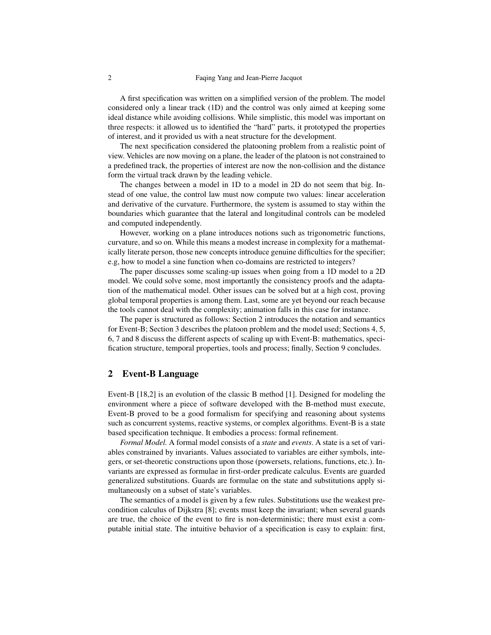A first specification was written on a simplified version of the problem. The model considered only a linear track (1D) and the control was only aimed at keeping some ideal distance while avoiding collisions. While simplistic, this model was important on three respects: it allowed us to identified the "hard" parts, it prototyped the properties of interest, and it provided us with a neat structure for the development.

The next specification considered the platooning problem from a realistic point of view. Vehicles are now moving on a plane, the leader of the platoon is not constrained to a predefined track, the properties of interest are now the non-collision and the distance form the virtual track drawn by the leading vehicle.

The changes between a model in 1D to a model in 2D do not seem that big. Instead of one value, the control law must now compute two values: linear acceleration and derivative of the curvature. Furthermore, the system is assumed to stay within the boundaries which guarantee that the lateral and longitudinal controls can be modeled and computed independently.

However, working on a plane introduces notions such as trigonometric functions, curvature, and so on. While this means a modest increase in complexity for a mathematically literate person, those new concepts introduce genuine difficulties for the specifier; e.g, how to model a sine function when co-domains are restricted to integers?

The paper discusses some scaling-up issues when going from a 1D model to a 2D model. We could solve some, most importantly the consistency proofs and the adaptation of the mathematical model. Other issues can be solved but at a high cost, proving global temporal properties is among them. Last, some are yet beyond our reach because the tools cannot deal with the complexity; animation falls in this case for instance.

The paper is structured as follows: Section 2 introduces the notation and semantics for Event-B; Section 3 describes the platoon problem and the model used; Sections 4, 5, 6, 7 and 8 discuss the different aspects of scaling up with Event-B: mathematics, specification structure, temporal properties, tools and process; finally, Section 9 concludes.

# 2 Event-B Language

Event-B [18,2] is an evolution of the classic B method [1]. Designed for modeling the environment where a piece of software developed with the B-method must execute, Event-B proved to be a good formalism for specifying and reasoning about systems such as concurrent systems, reactive systems, or complex algorithms. Event-B is a state based specification technique. It embodies a process: formal refinement.

*Formal Model.* A formal model consists of a *state* and *events*. A state is a set of variables constrained by invariants. Values associated to variables are either symbols, integers, or set-theoretic constructions upon those (powersets, relations, functions, etc.). Invariants are expressed as formulae in first-order predicate calculus. Events are guarded generalized substitutions. Guards are formulae on the state and substitutions apply simultaneously on a subset of state's variables.

The semantics of a model is given by a few rules. Substitutions use the weakest precondition calculus of Dijkstra [8]; events must keep the invariant; when several guards are true, the choice of the event to fire is non-deterministic; there must exist a computable initial state. The intuitive behavior of a specification is easy to explain: first,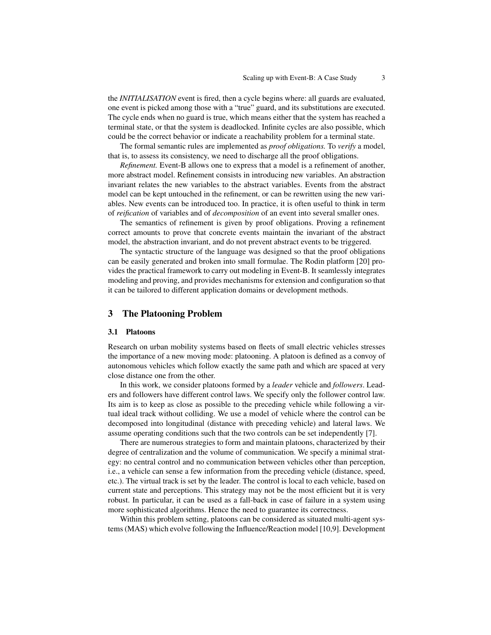the *INITIALISATION* event is fired, then a cycle begins where: all guards are evaluated, one event is picked among those with a "true" guard, and its substitutions are executed. The cycle ends when no guard is true, which means either that the system has reached a terminal state, or that the system is deadlocked. Infinite cycles are also possible, which could be the correct behavior or indicate a reachability problem for a terminal state.

The formal semantic rules are implemented as *proof obligations.* To *verify* a model, that is, to assess its consistency, we need to discharge all the proof obligations.

*Refinement.* Event-B allows one to express that a model is a refinement of another, more abstract model. Refinement consists in introducing new variables. An abstraction invariant relates the new variables to the abstract variables. Events from the abstract model can be kept untouched in the refinement, or can be rewritten using the new variables. New events can be introduced too. In practice, it is often useful to think in term of *reification* of variables and of *decomposition* of an event into several smaller ones.

The semantics of refinement is given by proof obligations. Proving a refinement correct amounts to prove that concrete events maintain the invariant of the abstract model, the abstraction invariant, and do not prevent abstract events to be triggered.

The syntactic structure of the language was designed so that the proof obligations can be easily generated and broken into small formulae. The Rodin platform [20] provides the practical framework to carry out modeling in Event-B. It seamlessly integrates modeling and proving, and provides mechanisms for extension and configuration so that it can be tailored to different application domains or development methods.

# 3 The Platooning Problem

#### 3.1 Platoons

Research on urban mobility systems based on fleets of small electric vehicles stresses the importance of a new moving mode: platooning. A platoon is defined as a convoy of autonomous vehicles which follow exactly the same path and which are spaced at very close distance one from the other.

In this work, we consider platoons formed by a *leader* vehicle and *followers*. Leaders and followers have different control laws. We specify only the follower control law. Its aim is to keep as close as possible to the preceding vehicle while following a virtual ideal track without colliding. We use a model of vehicle where the control can be decomposed into longitudinal (distance with preceding vehicle) and lateral laws. We assume operating conditions such that the two controls can be set independently [7].

There are numerous strategies to form and maintain platoons, characterized by their degree of centralization and the volume of communication. We specify a minimal strategy: no central control and no communication between vehicles other than perception, i.e., a vehicle can sense a few information from the preceding vehicle (distance, speed, etc.). The virtual track is set by the leader. The control is local to each vehicle, based on current state and perceptions. This strategy may not be the most efficient but it is very robust. In particular, it can be used as a fall-back in case of failure in a system using more sophisticated algorithms. Hence the need to guarantee its correctness.

Within this problem setting, platoons can be considered as situated multi-agent systems (MAS) which evolve following the Influence/Reaction model [10,9]. Development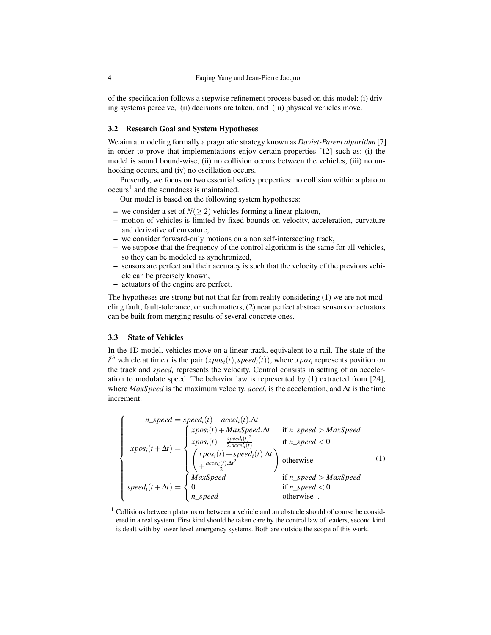of the specification follows a stepwise refinement process based on this model: (i) driving systems perceive, (ii) decisions are taken, and (iii) physical vehicles move.

#### 3.2 Research Goal and System Hypotheses

We aim at modeling formally a pragmatic strategy known as *Daviet-Parent algorithm* [7] in order to prove that implementations enjoy certain properties [12] such as: (i) the model is sound bound-wise, (ii) no collision occurs between the vehicles, (iii) no unhooking occurs, and (iv) no oscillation occurs.

Presently, we focus on two essential safety properties: no collision within a platoon occurs<sup>1</sup> and the soundness is maintained.

Our model is based on the following system hypotheses:

- we consider a set of  $N(\geq 2)$  vehicles forming a linear platoon,
- motion of vehicles is limited by fixed bounds on velocity, acceleration, curvature and derivative of curvature,
- we consider forward-only motions on a non self-intersecting track,
- we suppose that the frequency of the control algorithm is the same for all vehicles, so they can be modeled as synchronized,
- sensors are perfect and their accuracy is such that the velocity of the previous vehicle can be precisely known,
- actuators of the engine are perfect.

The hypotheses are strong but not that far from reality considering (1) we are not modeling fault, fault-tolerance, or such matters, (2) near perfect abstract sensors or actuators can be built from merging results of several concrete ones.

#### 3.3 State of Vehicles

In the 1D model, vehicles move on a linear track, equivalent to a rail. The state of the  $i<sup>th</sup>$  vehicle at time *t* is the pair  $(xpos<sub>i</sub>(t), speed<sub>i</sub>(t))$ , where  $xpos<sub>i</sub>$  represents position on the track and *speed<sup>i</sup>* represents the velocity. Control consists in setting of an acceleration to modulate speed. The behavior law is represented by (1) extracted from [24], where *MaxSpeed* is the maximum velocity, *accel<sup>i</sup>* is the acceleration, and ∆*t* is the time increment:

$$
\begin{cases}\nn\_speed = speed_i(t) + accel_i(t).\Delta t \\
xpos_i(t) + MaxSpeed.\Delta t & \text{if } n\_speed > MaxSpeed \\
xpos_i(t + \Delta t) = \begin{cases}\nxpos_i(t) - \frac{speed_i(t)^2}{2,accel_i(t)} & \text{if } n\_speed < 0 \\
\left(\frac{xpos_i(t) + speed_i(t)}{2, \Delta t}\right) & \text{otherwise} \\
+\frac{accel_i(t)\Delta t^2}{2}\n\end{cases} & \text{otherwise}\n\end{cases}\n\tag{1}
$$
\n
$$
speed_i(t + \Delta t) = \begin{cases}\nxpos_i(t) + speed_i(t).\Delta t & \text{if } n\_speed < 0 \\
maxSpeed & \text{if } n\_speed < 0 \\
0 & \text{otherwise}\n\end{cases}
$$

<sup>&</sup>lt;sup>1</sup> Collisions between platoons or between a vehicle and an obstacle should of course be considered in a real system. First kind should be taken care by the control law of leaders, second kind is dealt with by lower level emergency systems. Both are outside the scope of this work.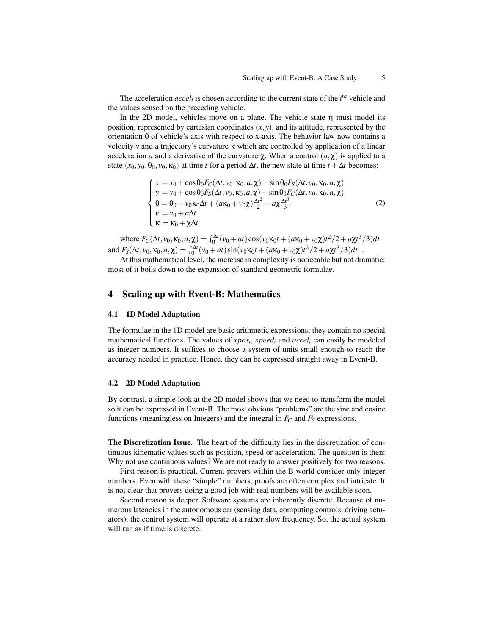The acceleration *accel<sup>i</sup>* is chosen according to the current state of the *i th* vehicle and the values sensed on the preceding vehicle.

In the 2D model, vehicles move on a plane. The vehicle state  $\eta$  must model its position, represented by cartesian coordinates  $(x, y)$ , and its attitude, represented by the orientation θ of vehicle's axis with respect to x-axis. The behavior law now contains a velocity *v* and a trajectory's curvature κ which are controlled by application of a linear acceleration *a* and a derivative of the curvature  $\chi$ . When a control  $(a, \chi)$  is applied to a state  $(x_0, y_0, \theta_0, v_0, \kappa_0)$  at time *t* for a period  $\Delta t$ , the new state at time  $t + \Delta t$  becomes:

$$
\begin{cases}\nx = x_0 + \cos\theta_0 F_C(\Delta t, v_0, \kappa_0, a, \chi) - \sin\theta_0 F_S(\Delta t, v_0, \kappa_0, a, \chi) \ny = y_0 + \cos\theta_0 F_S(\Delta t, v_0, \kappa_0, a, \chi) - \sin\theta_0 F_C(\Delta t, v_0, \kappa_0, a, \chi) \n\theta = \theta_0 + v_0 \kappa_0 \Delta t + (a\kappa_0 + v_0 \chi) \frac{\Delta t^2}{2} + a\chi \frac{\Delta t^3}{3} \nv = v_0 + a\Delta t \n\kappa = \kappa_0 + \chi \Delta t\n\end{cases}
$$
\n(2)

where  $F_C(\Delta t, v_0, \kappa_0, a, \chi) = \int_0^{\Delta t} (v_0 + at) \cos(v_0 \kappa_0 t + (a \kappa_0 + v_0 \chi)t^2/2 + a \chi t^3/3) dt$ and  $F_S(\Delta t, v_0, \kappa_0, a, \chi) = \int_0^{\Delta t} (v_0 + at) \sin(v_0 \kappa_0 t + (a \kappa_0 + v_0 \chi)t^2/2 + a \chi t^3/3) dt$ .

At this mathematical level, the increase in complexity is noticeable but not dramatic: most of it boils down to the expansion of standard geometric formulae.

# 4 Scaling up with Event-B: Mathematics

#### 4.1 1D Model Adaptation

The formulae in the 1D model are basic arithmetic expressions; they contain no special mathematical functions. The values of *xpos<sup>i</sup>* , *speed<sup>i</sup>* and *accel<sup>i</sup>* can easily be modeled as integer numbers. It suffices to choose a system of units small enough to reach the accuracy needed in practice. Hence, they can be expressed straight away in Event-B.

#### 4.2 2D Model Adaptation

By contrast, a simple look at the 2D model shows that we need to transform the model so it can be expressed in Event-B. The most obvious "problems" are the sine and cosine functions (meaningless on Integers) and the integral in *F<sup>C</sup>* and *F<sup>S</sup>* expressions.

The Discretization Issue. The heart of the difficulty lies in the discretization of continuous kinematic values such as position, speed or acceleration. The question is then: Why not use continuous values? We are not ready to answer positively for two reasons.

First reason is practical. Current provers within the B world consider only integer numbers. Even with these "simple" numbers, proofs are often complex and intricate. It is not clear that provers doing a good job with real numbers will be available soon.

Second reason is deeper. Software systems are inherently discrete. Because of numerous latencies in the autonomous car (sensing data, computing controls, driving actuators), the control system will operate at a rather slow frequency. So, the actual system will run as if time is discrete.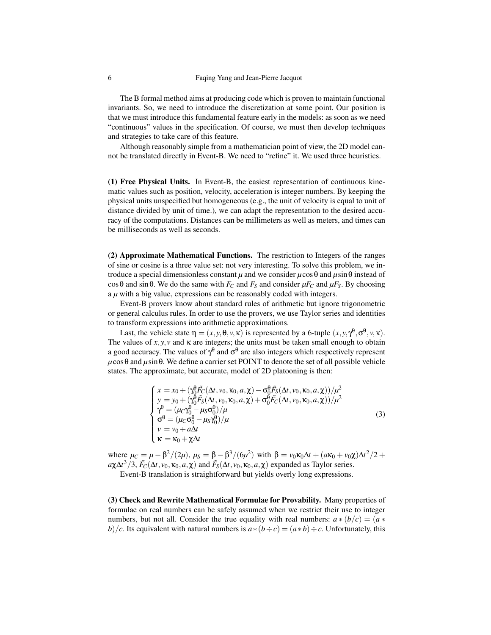The B formal method aims at producing code which is proven to maintain functional invariants. So, we need to introduce the discretization at some point. Our position is that we must introduce this fundamental feature early in the models: as soon as we need "continuous" values in the specification. Of course, we must then develop techniques and strategies to take care of this feature.

Although reasonably simple from a mathematician point of view, the 2D model cannot be translated directly in Event-B. We need to "refine" it. We used three heuristics.

(1) Free Physical Units. In Event-B, the easiest representation of continuous kinematic values such as position, velocity, acceleration is integer numbers. By keeping the physical units unspecified but homogeneous (e.g., the unit of velocity is equal to unit of distance divided by unit of time.), we can adapt the representation to the desired accuracy of the computations. Distances can be millimeters as well as meters, and times can be milliseconds as well as seconds.

(2) Approximate Mathematical Functions. The restriction to Integers of the ranges of sine or cosine is a three value set: not very interesting. To solve this problem, we introduce a special dimensionless constant *µ* and we consider *µ*cosθ and *µ*sinθ instead of cosθ and sinθ. We do the same with  $F_C$  and  $F_S$  and consider  $\mu F_C$  and  $\mu F_S$ . By choosing a *µ* with a big value, expressions can be reasonably coded with integers.

Event-B provers know about standard rules of arithmetic but ignore trigonometric or general calculus rules. In order to use the provers, we use Taylor series and identities to transform expressions into arithmetic approximations.

Last, the vehicle state  $\eta = (x, y, \theta, v, \kappa)$  is represented by a 6-tuple  $(x, y, \gamma^{\theta}, \sigma^{\theta}, v, \kappa)$ . The values of  $x, y, v$  and  $\kappa$  are integers; the units must be taken small enough to obtain a good accuracy. The values of  $\gamma^{\theta}$  and  $\sigma^{\theta}$  are also integers which respectively represent *µ*cosθ and *µ*sinθ. We define a carrier set POINT to denote the set of all possible vehicle states. The approximate, but accurate, model of 2D platooning is then:

$$
\begin{cases}\nx = x_0 + (\gamma_0^0 \tilde{F}_C(\Delta t, v_0, \kappa_0, a, \chi) - \sigma_0^0 \tilde{F}_S(\Delta t, v_0, \kappa_0, a, \chi))/\mu^2 \\
y = y_0 + (\gamma_0^0 \tilde{F}_S(\Delta t, v_0, \kappa_0, a, \chi) + \sigma_0^0 \tilde{F}_C(\Delta t, v_0, \kappa_0, a, \chi))/\mu^2 \\
\gamma^0 = (\mu_C \gamma_0^0 - \mu_S \sigma_0^0)/\mu \\
\sigma^0 = (\mu_C \sigma_0^0 - \mu_S \gamma_0^0)/\mu \\
v = v_0 + a\Delta t \\
\kappa = \kappa_0 + \chi \Delta t\n\end{cases} \tag{3}
$$

where  $\mu_C = \mu - \beta^2/(2\mu)$ ,  $\mu_S = \beta - \beta^3/(6\mu^2)$  with  $\beta = v_0 \kappa_0 \Delta t + (\alpha \kappa_0 + v_0 \chi) \Delta t^2/2 +$ *a*χ∆*t*<sup>3</sup>/3,  $\tilde{F}_C(\Delta t, v_0, \kappa_0, a, \chi)$  and  $\tilde{F}_S(\Delta t, v_0, \kappa_0, a, \chi)$  expanded as Taylor series.

Event-B translation is straightforward but yields overly long expressions.

(3) Check and Rewrite Mathematical Formulae for Provability. Many properties of formulae on real numbers can be safely assumed when we restrict their use to integer numbers, but not all. Consider the true equality with real numbers:  $a * (b/c) = (a *$ *b*)/*c*. Its equivalent with natural numbers is  $a * (b \div c) = (a * b) \div c$ . Unfortunately, this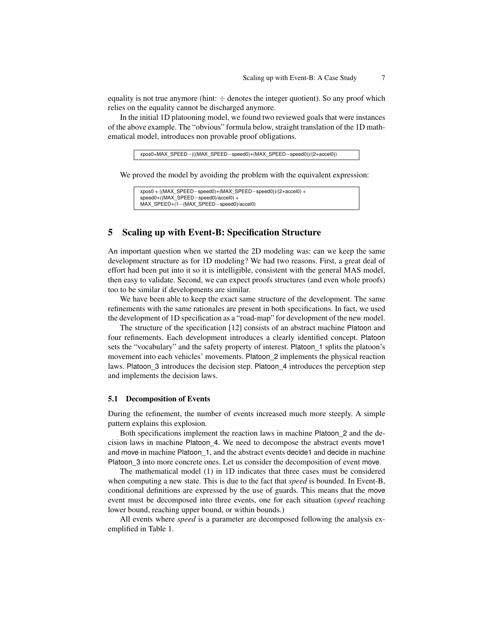equality is not true anymore (hint:  $\div$  denotes the integer quotient). So any proof which relies on the equality cannot be discharged anymore.

In the initial 1D platooning model, we found two reviewed goals that were instances of the above example. The "obvious" formula below, straight translation of the 1D mathematical model, introduces non provable proof obligations.

```
xpos0+MAX_SPEED−(((MAX_SPEED−speed0)∗(MAX_SPEED−speed0))/(2∗accel0))
```
We proved the model by avoiding the problem with the equivalent expression:

```
xpos0 + ((MAX_SPEED−speed0)∗(MAX_SPEED−speed0))/(2∗accel0) +
speed0∗((MAX_SPEED−speed0)/accel0) +
MAX_SPEED∗(1−(MAX_SPEED−speed0)/accel0)
```
# 5 Scaling up with Event-B: Specification Structure

An important question when we started the 2D modeling was: can we keep the same development structure as for 1D modeling? We had two reasons. First, a great deal of effort had been put into it so it is intelligible, consistent with the general MAS model, then easy to validate. Second, we can expect proofs structures (and even whole proofs) too to be similar if developments are similar.

We have been able to keep the exact same structure of the development. The same refinements with the same rationales are present in both specifications. In fact, we used the development of 1D specification as a "road-map" for development of the new model.

The structure of the specification [12] consists of an abstract machine Platoon and four refinements. Each development introduces a clearly identified concept. Platoon sets the "vocabulary" and the safety property of interest. Platoon\_1 splits the platoon's movement into each vehicles' movements. Platoon\_2 implements the physical reaction laws. Platoon 3 introduces the decision step. Platoon 4 introduces the perception step and implements the decision laws.

#### 5.1 Decomposition of Events

During the refinement, the number of events increased much more steeply. A simple pattern explains this explosion.

Both specifications implement the reaction laws in machine Platoon\_2 and the decision laws in machine Platoon\_4. We need to decompose the abstract events move1 and move in machine Platoon\_1, and the abstract events decide1 and decide in machine Platoon 3 into more concrete ones. Let us consider the decomposition of event move.

The mathematical model (1) in 1D indicates that three cases must be considered when computing a new state. This is due to the fact that *speed* is bounded. In Event-B, conditional definitions are expressed by the use of guards. This means that the move event must be decomposed into three events, one for each situation (*speed* reaching lower bound, reaching upper bound, or within bounds.)

All events where *speed* is a parameter are decomposed following the analysis exemplified in Table 1.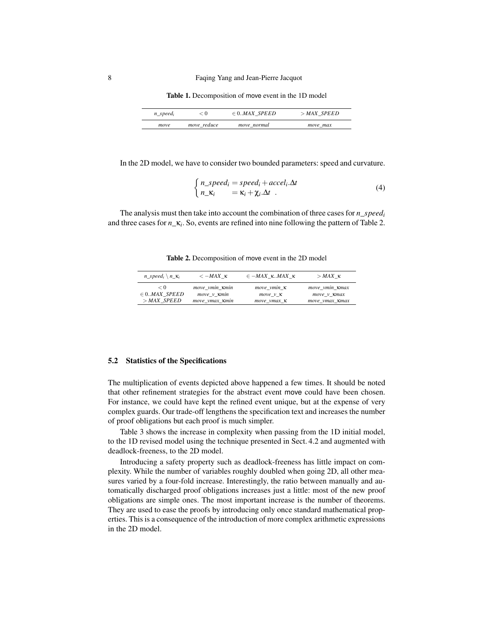8 Faqing Yang and Jean-Pierre Jacquot

Table 1. Decomposition of move event in the 1D model

| $n\_speed_i$ | < 0         | $\in$ 0 <i>MAX SPEED</i> | $>$ MAX SPEED |
|--------------|-------------|--------------------------|---------------|
| move         | move reduce | move normal              | move max      |

In the 2D model, we have to consider two bounded parameters: speed and curvature.

$$
\begin{cases}\nn\_speed_i = speed_i + accel_i.\Delta t \\
n\_k_i = \kappa_i + \chi_i.\Delta t\n\end{cases} \tag{4}
$$

The analysis must then take into account the combination of three cases for *n*\_*speed<sup>i</sup>* and three cases for *n*\_κ*<sup>i</sup>* . So, events are refined into nine following the pattern of Table 2.

Table 2. Decomposition of move event in the 2D model

| $n\_speed_i \setminus n_{i}$ | $<-MAX \kappa$ | $\in$ $-MAX$ <sub>K</sub> $MAX$ <sub>K</sub> | $>$ MAX $\kappa$ |
|------------------------------|----------------|----------------------------------------------|------------------|
| < 0                          | move vmin Kmin | move vmin K                                  | move vmin Kmax   |
| $\in$ 0 <i>MAX SPEED</i>     | move v Kmin    | $move$ $v$ $K$                               | move v Kmax      |
| $>$ MAX SPEED                | move_vmax_Kmin | move vmax K                                  | move vmax Kmax   |

#### 5.2 Statistics of the Specifications

The multiplication of events depicted above happened a few times. It should be noted that other refinement strategies for the abstract event move could have been chosen. For instance, we could have kept the refined event unique, but at the expense of very complex guards. Our trade-off lengthens the specification text and increases the number of proof obligations but each proof is much simpler.

Table 3 shows the increase in complexity when passing from the 1D initial model, to the 1D revised model using the technique presented in Sect. 4.2 and augmented with deadlock-freeness, to the 2D model.

Introducing a safety property such as deadlock-freeness has little impact on complexity. While the number of variables roughly doubled when going 2D, all other measures varied by a four-fold increase. Interestingly, the ratio between manually and automatically discharged proof obligations increases just a little: most of the new proof obligations are simple ones. The most important increase is the number of theorems. They are used to ease the proofs by introducing only once standard mathematical properties. This is a consequence of the introduction of more complex arithmetic expressions in the 2D model.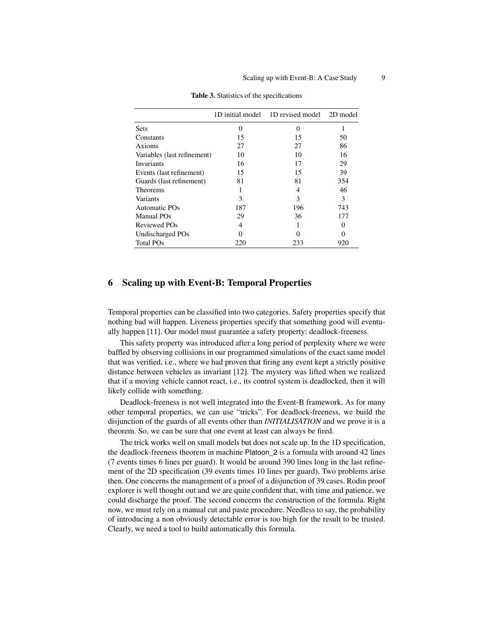|                             |          | 1D initial model 1D revised model | 2D model |
|-----------------------------|----------|-----------------------------------|----------|
| <b>Sets</b>                 | $\Omega$ | 0                                 |          |
| Constants                   | 15       | 15                                | 50       |
| Axioms                      | 27       | 27                                | 86       |
| Variables (last refinement) | 10       | 10                                | 16       |
| Invariants                  | 16       | 17                                | 29       |
| Events (last refinement)    | 15       | 15                                | 39       |
| Guards (last refinement)    | 81       | 81                                | 354      |
| <b>Theorems</b>             |          | 4                                 | 46       |
| Variants                    | 3        | 3                                 | 3        |
| Automatic POs               | 187      | 196                               | 743      |
| Manual POs                  | 29       | 36                                | 177      |
| Reviewed POs                | 4        |                                   |          |
| Undischarged POs            |          |                                   |          |
| <b>Total POs</b>            | 220      | 233                               | 920      |

Table 3. Statistics of the specifications

# 6 Scaling up with Event-B: Temporal Properties

Temporal properties can be classified into two categories. Safety properties specify that nothing bad will happen. Liveness properties specify that something good will eventually happen [11]. Our model must guarantee a safety property: deadlock-freeness.

This safety property was introduced after a long period of perplexity where we were baffled by observing collisions in our programmed simulations of the exact same model that was verified, i.e., where we had proven that firing any event kept a strictly positive distance between vehicles as invariant [12]. The mystery was lifted when we realized that if a moving vehicle cannot react, i.e., its control system is deadlocked, then it will likely collide with something.

Deadlock-freeness is not well integrated into the Event-B framework. As for many other temporal properties, we can use "tricks". For deadlock-freeness, we build the disjunction of the guards of all events other than *INITIALISATION* and we prove it is a theorem. So, we can be sure that one event at least can always be fired.

The trick works well on small models but does not scale up. In the 1D specification, the deadlock-freeness theorem in machine Platoon\_2 is a formula with around 42 lines (7 events times 6 lines per guard). It would be around 390 lines long in the last refinement of the 2D specification (39 events times 10 lines per guard). Two problems arise then. One concerns the management of a proof of a disjunction of 39 cases. Rodin proof explorer is well thought out and we are quite confident that, with time and patience, we could discharge the proof. The second concerns the construction of the formula. Right now, we must rely on a manual cut and paste procedure. Needless to say, the probability of introducing a non obviously detectable error is too high for the result to be trusted. Clearly, we need a tool to build automatically this formula.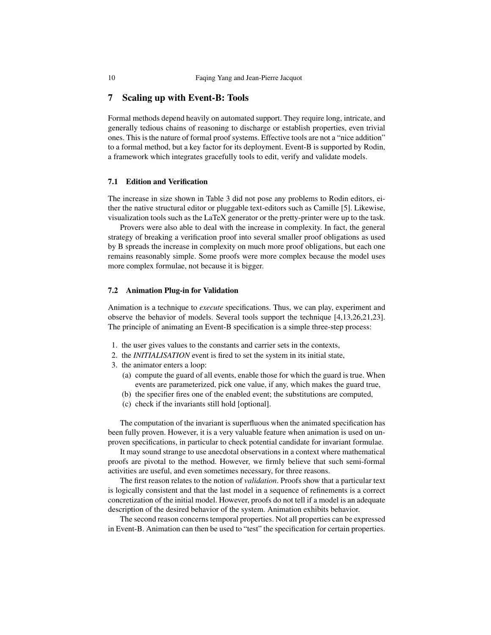# 7 Scaling up with Event-B: Tools

Formal methods depend heavily on automated support. They require long, intricate, and generally tedious chains of reasoning to discharge or establish properties, even trivial ones. This is the nature of formal proof systems. Effective tools are not a "nice addition" to a formal method, but a key factor for its deployment. Event-B is supported by Rodin, a framework which integrates gracefully tools to edit, verify and validate models.

#### 7.1 Edition and Verification

The increase in size shown in Table 3 did not pose any problems to Rodin editors, either the native structural editor or pluggable text-editors such as Camille [5]. Likewise, visualization tools such as the LaTeX generator or the pretty-printer were up to the task.

Provers were also able to deal with the increase in complexity. In fact, the general strategy of breaking a verification proof into several smaller proof obligations as used by B spreads the increase in complexity on much more proof obligations, but each one remains reasonably simple. Some proofs were more complex because the model uses more complex formulae, not because it is bigger.

#### 7.2 Animation Plug-in for Validation

Animation is a technique to *execute* specifications. Thus, we can play, experiment and observe the behavior of models. Several tools support the technique [4,13,26,21,23]. The principle of animating an Event-B specification is a simple three-step process:

- 1. the user gives values to the constants and carrier sets in the contexts,
- 2. the *INITIALISATION* event is fired to set the system in its initial state,
- 3. the animator enters a loop:
	- (a) compute the guard of all events, enable those for which the guard is true. When events are parameterized, pick one value, if any, which makes the guard true,
	- (b) the specifier fires one of the enabled event; the substitutions are computed,
	- (c) check if the invariants still hold [optional].

The computation of the invariant is superfluous when the animated specification has been fully proven. However, it is a very valuable feature when animation is used on unproven specifications, in particular to check potential candidate for invariant formulae.

It may sound strange to use anecdotal observations in a context where mathematical proofs are pivotal to the method. However, we firmly believe that such semi-formal activities are useful, and even sometimes necessary, for three reasons.

The first reason relates to the notion of *validation*. Proofs show that a particular text is logically consistent and that the last model in a sequence of refinements is a correct concretization of the initial model. However, proofs do not tell if a model is an adequate description of the desired behavior of the system. Animation exhibits behavior.

The second reason concerns temporal properties. Not all properties can be expressed in Event-B. Animation can then be used to "test" the specification for certain properties.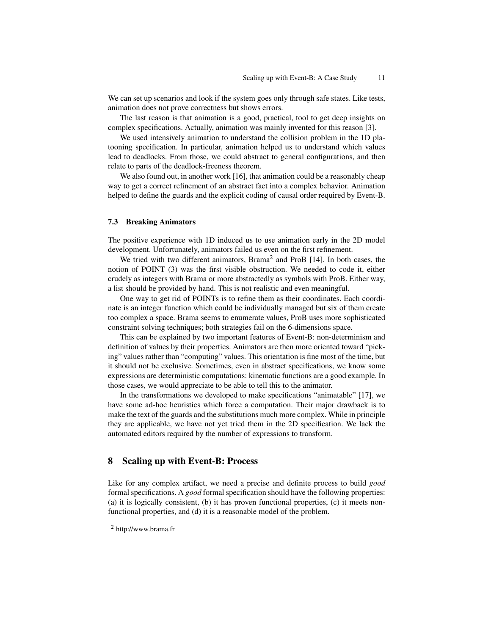We can set up scenarios and look if the system goes only through safe states. Like tests, animation does not prove correctness but shows errors.

The last reason is that animation is a good, practical, tool to get deep insights on complex specifications. Actually, animation was mainly invented for this reason [3].

We used intensively animation to understand the collision problem in the 1D platooning specification. In particular, animation helped us to understand which values lead to deadlocks. From those, we could abstract to general configurations, and then relate to parts of the deadlock-freeness theorem.

We also found out, in another work [16], that animation could be a reasonably cheap way to get a correct refinement of an abstract fact into a complex behavior. Animation helped to define the guards and the explicit coding of causal order required by Event-B.

#### 7.3 Breaking Animators

The positive experience with 1D induced us to use animation early in the 2D model development. Unfortunately, animators failed us even on the first refinement.

We tried with two different animators, Brama<sup>2</sup> and ProB [14]. In both cases, the notion of POINT (3) was the first visible obstruction. We needed to code it, either crudely as integers with Brama or more abstractedly as symbols with ProB. Either way, a list should be provided by hand. This is not realistic and even meaningful.

One way to get rid of POINTs is to refine them as their coordinates. Each coordinate is an integer function which could be individually managed but six of them create too complex a space. Brama seems to enumerate values, ProB uses more sophisticated constraint solving techniques; both strategies fail on the 6-dimensions space.

This can be explained by two important features of Event-B: non-determinism and definition of values by their properties. Animators are then more oriented toward "picking" values rather than "computing" values. This orientation is fine most of the time, but it should not be exclusive. Sometimes, even in abstract specifications, we know some expressions are deterministic computations: kinematic functions are a good example. In those cases, we would appreciate to be able to tell this to the animator.

In the transformations we developed to make specifications "animatable" [17], we have some ad-hoc heuristics which force a computation. Their major drawback is to make the text of the guards and the substitutions much more complex. While in principle they are applicable, we have not yet tried them in the 2D specification. We lack the automated editors required by the number of expressions to transform.

# 8 Scaling up with Event-B: Process

Like for any complex artifact, we need a precise and definite process to build *good* formal specifications. A *good* formal specification should have the following properties: (a) it is logically consistent, (b) it has proven functional properties, (c) it meets nonfunctional properties, and (d) it is a reasonable model of the problem.

<sup>2</sup> http://www.brama.fr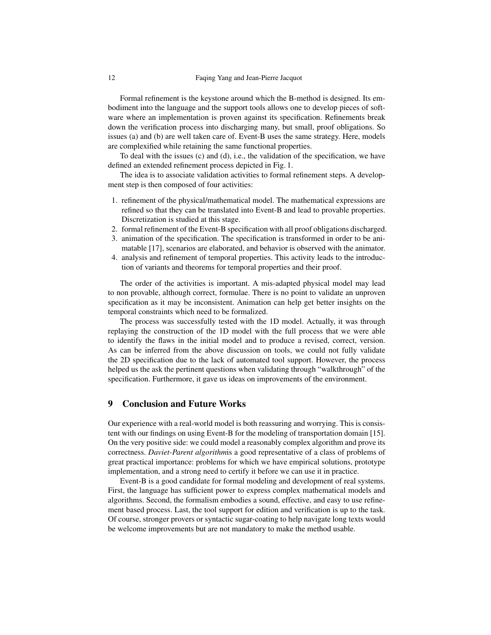Formal refinement is the keystone around which the B-method is designed. Its embodiment into the language and the support tools allows one to develop pieces of software where an implementation is proven against its specification. Refinements break down the verification process into discharging many, but small, proof obligations. So issues (a) and (b) are well taken care of. Event-B uses the same strategy. Here, models are complexified while retaining the same functional properties.

To deal with the issues (c) and (d), i.e., the validation of the specification, we have defined an extended refinement process depicted in Fig. 1.

The idea is to associate validation activities to formal refinement steps. A development step is then composed of four activities:

- 1. refinement of the physical/mathematical model. The mathematical expressions are refined so that they can be translated into Event-B and lead to provable properties. Discretization is studied at this stage.
- 2. formal refinement of the Event-B specification with all proof obligations discharged.
- 3. animation of the specification. The specification is transformed in order to be animatable [17], scenarios are elaborated, and behavior is observed with the animator.
- 4. analysis and refinement of temporal properties. This activity leads to the introduction of variants and theorems for temporal properties and their proof.

The order of the activities is important. A mis-adapted physical model may lead to non provable, although correct, formulae. There is no point to validate an unproven specification as it may be inconsistent. Animation can help get better insights on the temporal constraints which need to be formalized.

The process was successfully tested with the 1D model. Actually, it was through replaying the construction of the 1D model with the full process that we were able to identify the flaws in the initial model and to produce a revised, correct, version. As can be inferred from the above discussion on tools, we could not fully validate the 2D specification due to the lack of automated tool support. However, the process helped us the ask the pertinent questions when validating through "walkthrough" of the specification. Furthermore, it gave us ideas on improvements of the environment.

# 9 Conclusion and Future Works

Our experience with a real-world model is both reassuring and worrying. This is consistent with our findings on using Event-B for the modeling of transportation domain [15]. On the very positive side: we could model a reasonably complex algorithm and prove its correctness. *Daviet-Parent algorithm*is a good representative of a class of problems of great practical importance: problems for which we have empirical solutions, prototype implementation, and a strong need to certify it before we can use it in practice.

Event-B is a good candidate for formal modeling and development of real systems. First, the language has sufficient power to express complex mathematical models and algorithms. Second, the formalism embodies a sound, effective, and easy to use refinement based process. Last, the tool support for edition and verification is up to the task. Of course, stronger provers or syntactic sugar-coating to help navigate long texts would be welcome improvements but are not mandatory to make the method usable.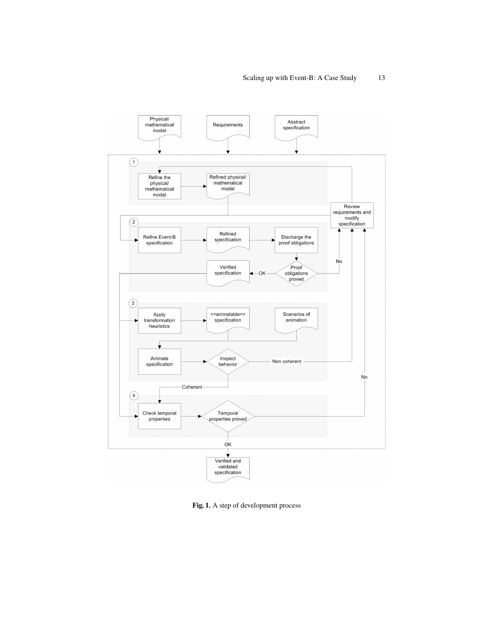

Fig. 1. A step of development process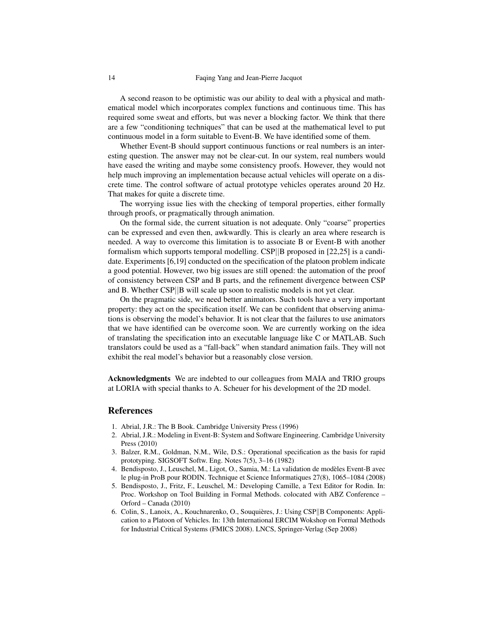A second reason to be optimistic was our ability to deal with a physical and mathematical model which incorporates complex functions and continuous time. This has required some sweat and efforts, but was never a blocking factor. We think that there are a few "conditioning techniques" that can be used at the mathematical level to put continuous model in a form suitable to Event-B. We have identified some of them.

Whether Event-B should support continuous functions or real numbers is an interesting question. The answer may not be clear-cut. In our system, real numbers would have eased the writing and maybe some consistency proofs. However, they would not help much improving an implementation because actual vehicles will operate on a discrete time. The control software of actual prototype vehicles operates around 20 Hz. That makes for quite a discrete time.

The worrying issue lies with the checking of temporal properties, either formally through proofs, or pragmatically through animation.

On the formal side, the current situation is not adequate. Only "coarse" properties can be expressed and even then, awkwardly. This is clearly an area where research is needed. A way to overcome this limitation is to associate B or Event-B with another formalism which supports temporal modelling. CSP||B proposed in [22,25] is a candidate. Experiments [6,19] conducted on the specification of the platoon problem indicate a good potential. However, two big issues are still opened: the automation of the proof of consistency between CSP and B parts, and the refinement divergence between CSP and B. Whether CSP||B will scale up soon to realistic models is not yet clear.

On the pragmatic side, we need better animators. Such tools have a very important property: they act on the specification itself. We can be confident that observing animations is observing the model's behavior. It is not clear that the failures to use animators that we have identified can be overcome soon. We are currently working on the idea of translating the specification into an executable language like C or MATLAB. Such translators could be used as a "fall-back" when standard animation fails. They will not exhibit the real model's behavior but a reasonably close version.

Acknowledgments We are indebted to our colleagues from MAIA and TRIO groups at LORIA with special thanks to A. Scheuer for his development of the 2D model.

## References

- 1. Abrial, J.R.: The B Book. Cambridge University Press (1996)
- 2. Abrial, J.R.: Modeling in Event-B: System and Software Engineering. Cambridge University Press (2010)
- 3. Balzer, R.M., Goldman, N.M., Wile, D.S.: Operational specification as the basis for rapid prototyping. SIGSOFT Softw. Eng. Notes 7(5), 3–16 (1982)
- 4. Bendisposto, J., Leuschel, M., Ligot, O., Samia, M.: La validation de modèles Event-B avec le plug-in ProB pour RODIN. Technique et Science Informatiques 27(8), 1065–1084 (2008)
- 5. Bendisposto, J., Fritz, F., Leuschel, M.: Developing Camille, a Text Editor for Rodin. In: Proc. Workshop on Tool Building in Formal Methods. colocated with ABZ Conference – Orford – Canada (2010)
- 6. Colin, S., Lanoix, A., Kouchnarenko, O., Souquières, J.: Using CSP B Components: Application to a Platoon of Vehicles. In: 13th International ERCIM Wokshop on Formal Methods for Industrial Critical Systems (FMICS 2008). LNCS, Springer-Verlag (Sep 2008)